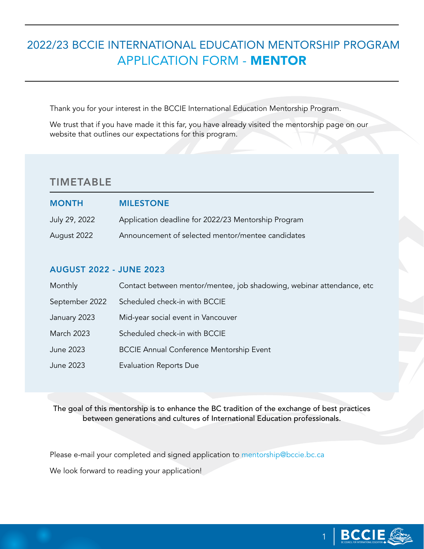# 2022/23 BCCIE INTERNATIONAL EDUCATION MENTORSHIP PROGRAM APPLICATION FORM - MENTOR

Thank you for your interest in the BCCIE International Education Mentorship Program.

We trust that if you have made it this far, you have already visited the mentorship page on our website that outlines our expectations for this program.

### TIMETABLE

| <b>MONTH</b>  | <b>MILESTONE</b>                                    |
|---------------|-----------------------------------------------------|
| July 29, 2022 | Application deadline for 2022/23 Mentorship Program |
| August 2022   | Announcement of selected mentor/mentee candidates   |

#### AUGUST 2022 - JUNE 2023

| Monthly           | Contact between mentor/mentee, job shadowing, webinar attendance, etc |
|-------------------|-----------------------------------------------------------------------|
| September 2022    | Scheduled check-in with BCCIE                                         |
| January 2023      | Mid-year social event in Vancouver                                    |
| <b>March 2023</b> | Scheduled check-in with BCCIE                                         |
| June 2023         | <b>BCCIE Annual Conference Mentorship Event</b>                       |
| June 2023         | <b>Evaluation Reports Due</b>                                         |

The goal of this mentorship is to enhance the BC tradition of the exchange of best practices between generations and cultures of International Education professionals.

Please e-mail your completed and signed application to [mentorship@bccie.bc.ca](mailto:mentorship%40bccie.bc.ca?subject=)



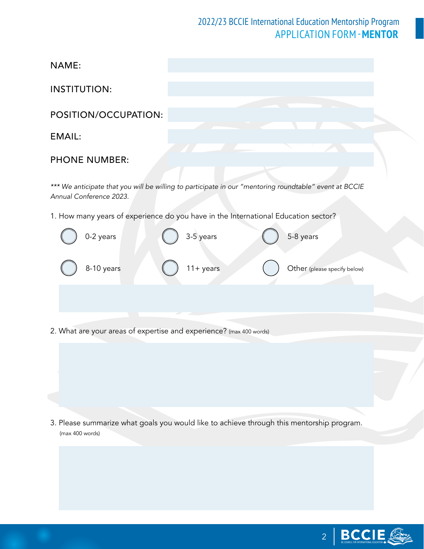# 2022/23 BCCIE International Education Mentorship Program APPLICATION FORM -**MENTOR**

NAME:

INSTITUTION:

POSITION/OCCUPATION:

EMAIL:

#### PHONE NUMBER:

\*\*\* We anticipate that you will be willing to participate in our "mentoring roundtable" event at BCCIE Annual C*onference 202*3*.*

1. How many years of experience do you have in the International Education sector?



2. What are your areas of expertise and experience? (max 400 words)

3. Please summarize what goals you would like to achieve through this mentorship program. (max 400 words)